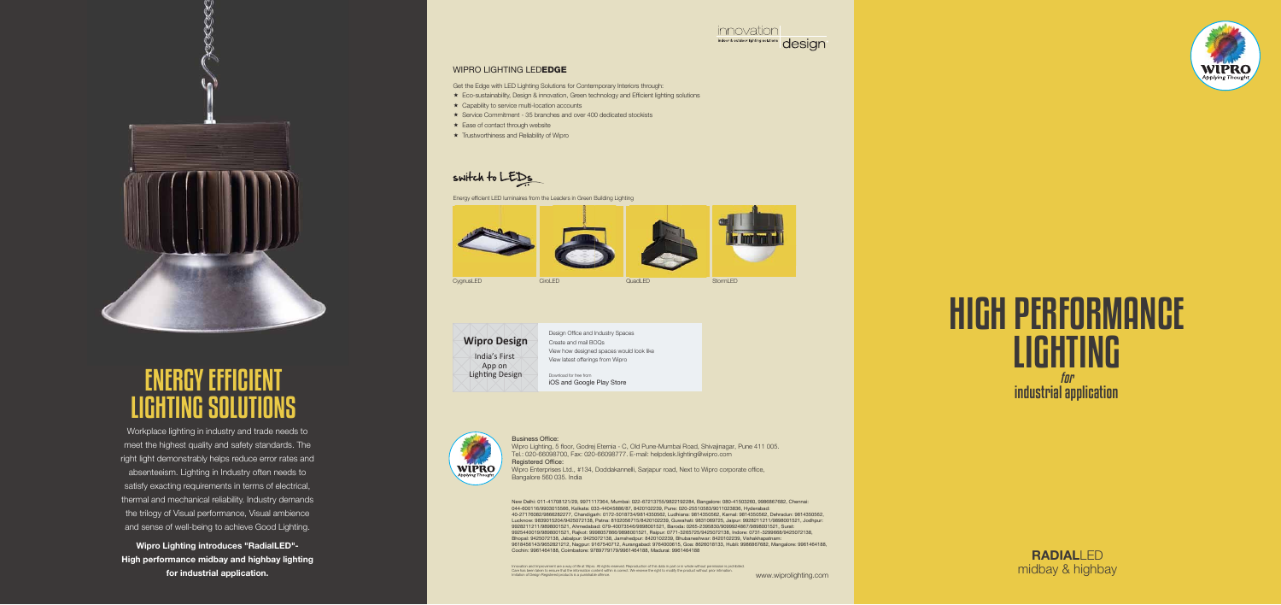#### WIPRO LIGHTING LEDEDGE

#### Business Office:

Wipro Lighting, 5 floor, Godrej Eternia - C, Old Pune-Mumbai Road, Shivajinagar, Pune 411 005. Tel.: 020-66098700, Fax: 020-66098777. E-mail: helpdesk.lighting@wipro.com Registered Office: Wipro Enterprises Ltd., #134, Doddakannelli, Sarjapur road, Next to Wipro corporate office, Bangalore 560 035. India

Get the Edge with LED Lighting Solutions for Contemporary Interiors through: Eco-sustainability, Design & innovation, Green technology and Efficient lighting solutions

- 
- $\star$  Capability to service multi-location accounts
- Service Commitment 35 branches and over 400 dedicated stockists
- $\star$  Ease of contact through website
- **\*** Trustworthiness and Reliability of Wipro

#### switch to LEDs



Energy efficient LED luminaires from the Leaders in Green Building Lighting



Download for free from iOS and Google Play Store



Design Office and Industry Spaces Create and mail BOQs View how designed spaces would look like View latest offerings from Wipro

**Wipro Design** India's First App on Lighting Design

> New Delhi: 011-41708121/29, 9971117364, Mumbai: 022-67213755/9822192284, Bangalore: 080-41503260, 9986867682, Chennai: 044-600116/9903015566, Kolkata: 033-44045886/87, 8420102239, Pune: 020-25510583/9011023836, Hyderabad: 40-27176082/9866282277, Chandigarh: 0172-5018734/9814350562, Ludhiana: 9814350562, Karnal: 9814350562, Dehradun: 9814350562, Lucknow: 9839015204/9425072138, Patna: 8102056715/8420102239, Guwahati: 9831069725, Jaipur: 9928211211/9898001521, Jodhpur: 9928211211/9898001521, Ahmedabad: 079-40073546/9898001521, Baroda: 0265-2395830/9099924867/9898001521, Surat: 9925440019/9898001521, Rajkot: 9998057866/9898001521, Raipur: 0771-3265725/9425072138, Indore: 0731-3299668/9425072138, Bhopal: 9425072138, Jabalpur: 9425072138, Jamshedpur: 8420102239, Bhubaneshwar: 8420102239, Vishakhapatnam: 9618456143/9652821212, Nagpur: 9167540712, Aurangabad: 9764000615, Goa: 8626018133, Hubli: 9986867682, Mangalore: 9961464188, Cochin: 9961464188, Coimbatore: 9789779179/9961464188, Madurai: 9961464188

> Innovation and Improvement are a way of life at Wipro. All rights reserved. Reproduction of this data in part or in whole without permission is prohibited.<br>Care has been taken to ensure that the information content within









QuadLED

## *for* HIGH PERFORMANCE LIGHTING industrial application

#### **RADIAL**LED midbay & highbay

Workplace lighting in industry and trade needs to meet the highest quality and safety standards. The right light demonstrably helps reduce error rates and absenteeism. Lighting in Industry often needs to satisfy exacting requirements in terms of electrical, thermal and mechanical reliability. Industry demands the trilogy of Visual performance, Visual ambience and sense of well-being to achieve Good Lighting.

**Wipro Lighting introduces "RadialLED"- High performance midbay and highbay lighting for industrial application.**



# ENERGY EFFICIENT LIGHTING SOLUTIONS